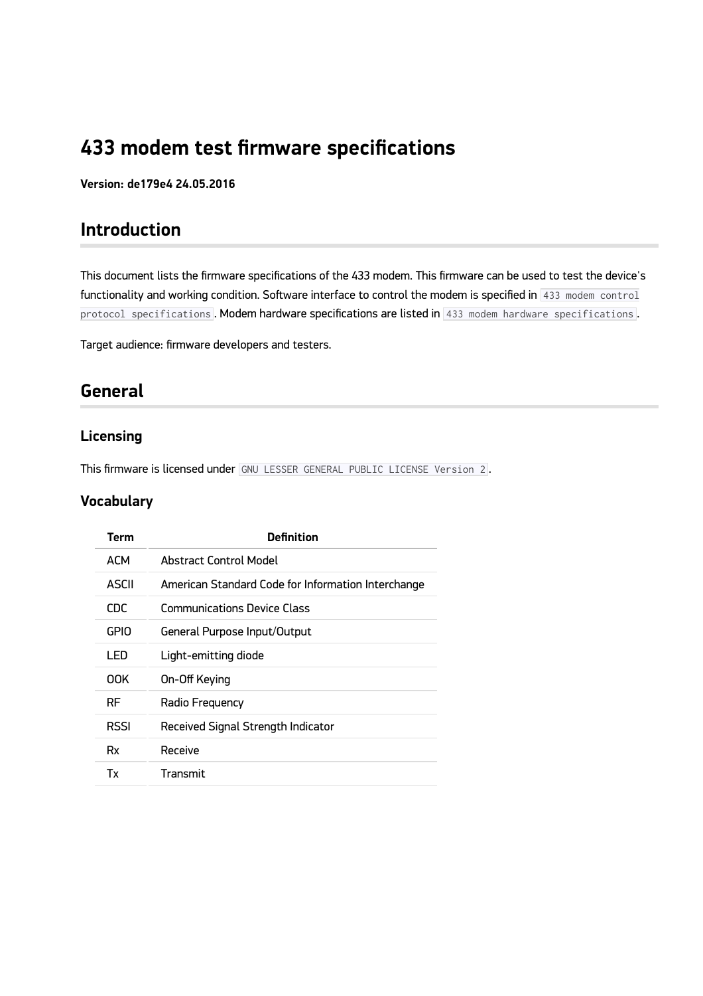# **433 modem test firmware specifications**

**Version: de179e4 24.05.2016**

## **Introduction**

This document lists the firmware specifications of the 433 modem. This firmware can be used to test the device's functionality and working condition. Software interface to control the modem is specified in  $\frac{433 \text{ modern control}}{433 \text{ modern control}}$ protocol specifications. Modem hardware specifications are listed in 433 modem hardware specifications.

Target audience: firmware developers and testers.

### **General**

### **Licensing**

This firmware is licensed under GNU LESSER GENERAL PUBLIC LICENSE Version 2 .

#### **Vocabulary**

| Term        | <b>Definition</b>                                  |  |
|-------------|----------------------------------------------------|--|
| <b>ACM</b>  | Abstract Control Model                             |  |
| ASCII       | American Standard Code for Information Interchange |  |
| CDC         | <b>Communications Device Class</b>                 |  |
| <b>GPIO</b> | General Purpose Input/Output                       |  |
| LED         | Light-emitting diode                               |  |
| 00K         | On-Off Keying                                      |  |
| RF          | Radio Frequency                                    |  |
| <b>RSSI</b> | Received Signal Strength Indicator                 |  |
| Rx          | Receive                                            |  |
| Tx          | Transmit                                           |  |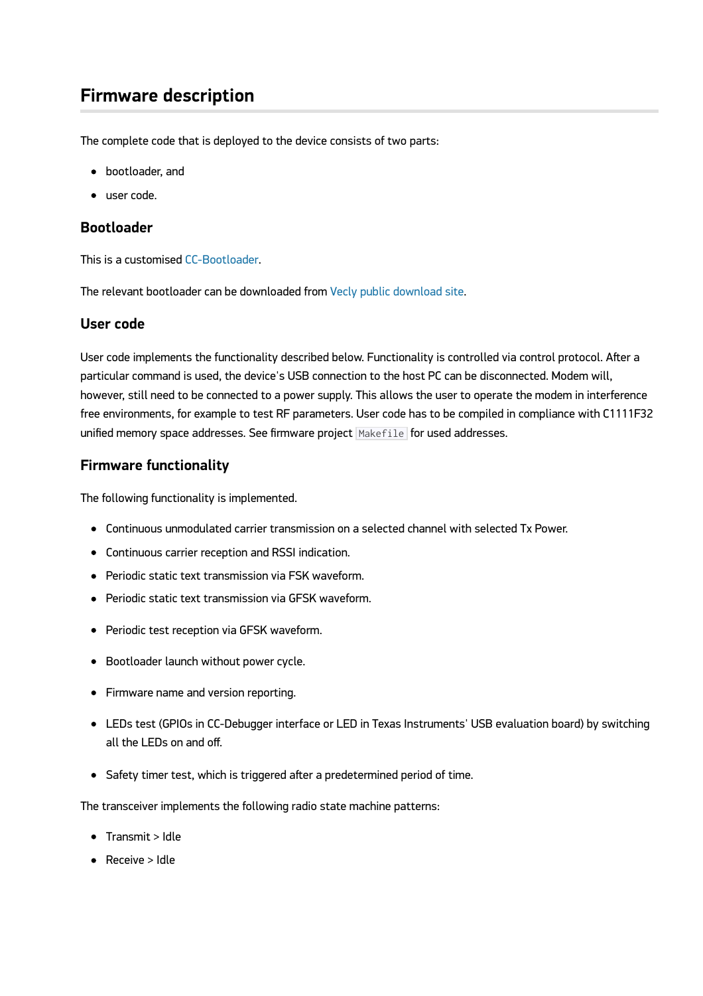## **Firmware description**

The complete code that is deployed to the device consists of two parts:

- bootloader, and
- user code.

#### **Bootloader**

This is a customised [CC-Bootloader.](https://github.com/swift-nav/CC-Bootloader)

The relevant bootloader can be downloaded from [Vecly public download site](https://vecly.com/pub/433-modem/firmware/CC-Bootloader).

#### **User code**

User code implements the functionality described below. Functionality is controlled via control protocol. After a particular command is used, the device's USB connection to the host PC can be disconnected. Modem will, however, still need to be connected to a power supply. This allows the user to operate the modem in interference free environments, for example to test RF parameters. User code has to be compiled in compliance with C1111F32 unified memory space addresses. See firmware project Makefile for used addresses.

#### **Firmware functionality**

The following functionality is implemented.

- Continuous unmodulated carrier transmission on a selected channel with selected Tx Power.
- Continuous carrier reception and RSSI indication.
- Periodic static text transmission via FSK waveform.
- Periodic static text transmission via GFSK waveform.
- Periodic test reception via GFSK waveform.
- Bootloader launch without power cycle.
- Firmware name and version reporting.
- LEDs test (GPIOs in CC-Debugger interface or LED in Texas Instruments' USB evaluation board) by switching all the LEDs on and off.
- Safety timer test, which is triggered after a predetermined period of time.

The transceiver implements the following radio state machine patterns:

- Transmit > Idle
- Receive > Idle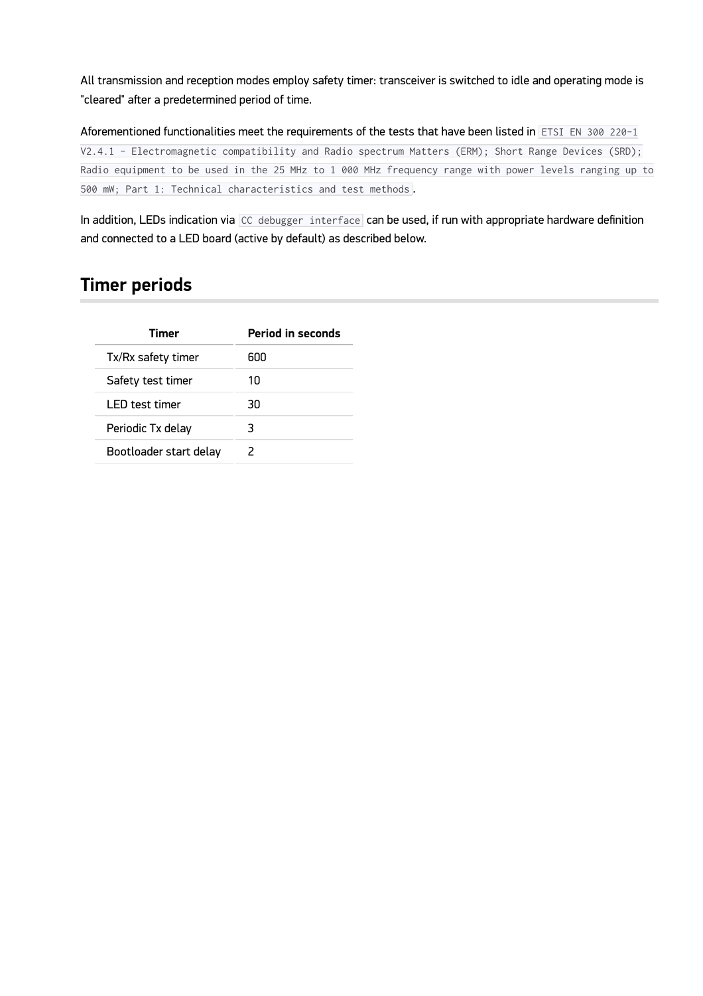All transmission and reception modes employ safety timer: transceiver is switched to idle and operating mode is "cleared" after a predetermined period of time.

Aforementioned functionalities meet the requirements of the tests that have been listed in ETSI EN 300 220-1 V2.4.1 - Electromagnetic compatibility and Radio spectrum Matters (ERM); Short Range Devices (SRD); Radio equipment to be used in the 25 MHz to 1 000 MHz frequency range with power levels ranging up to 500 mW; Part 1: Technical characteristics and test methods .

In addition, LEDs indication via  $|CC$  debugger interface can be used, if run with appropriate hardware definition and connected to a LED board (active by default) as described below.

## **Timer periods**

| Timer                  | <b>Period in seconds</b> |  |
|------------------------|--------------------------|--|
| Tx/Rx safety timer     | 600                      |  |
| Safety test timer      | 10                       |  |
| l FD test timer        | 30                       |  |
| Periodic Tx delay      | 3                        |  |
| Bootloader start delay | 2                        |  |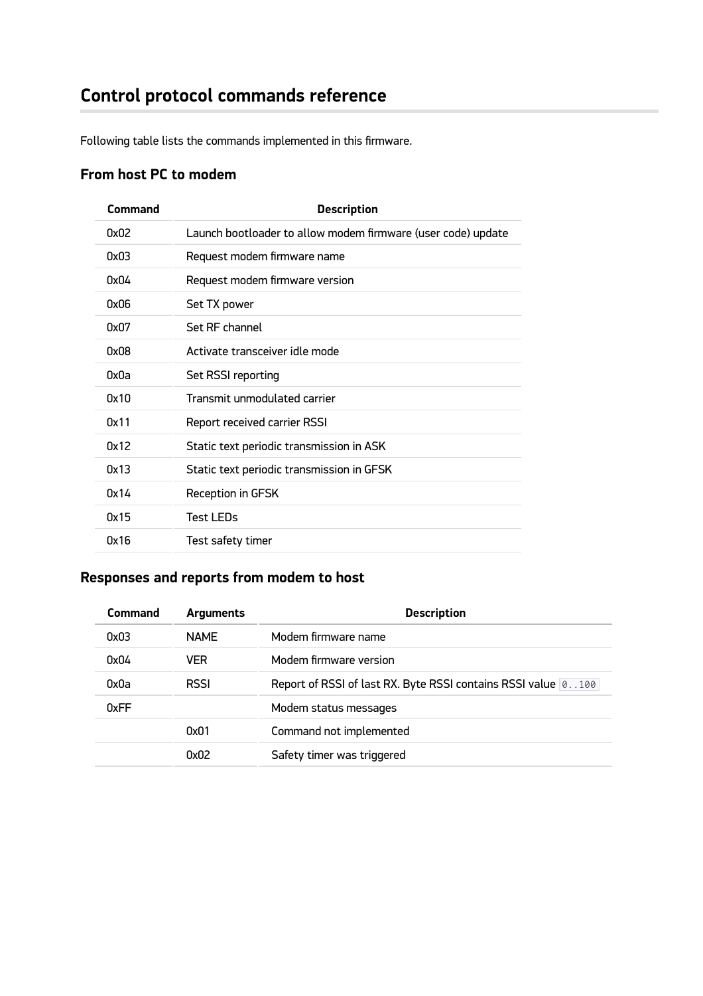Following table lists the commands implemented in this firmware.

## **From host PC to modem**

| Command | <b>Description</b>                                           |  |  |
|---------|--------------------------------------------------------------|--|--|
| 0x02    | Launch bootloader to allow modem firmware (user code) update |  |  |
| 0x03    | Request modem firmware name                                  |  |  |
| 0x04    | Request modem firmware version                               |  |  |
| 0x06    | Set TX power                                                 |  |  |
| 0x07    | Set RF channel                                               |  |  |
| 0x08    | Activate transceiver idle mode                               |  |  |
| 0x0a    | Set RSSI reporting                                           |  |  |
| 0x10    | Transmit unmodulated carrier                                 |  |  |
| 0x11    | Report received carrier RSSI                                 |  |  |
| 0x12    | Static text periodic transmission in ASK                     |  |  |
| 0x13    | Static text periodic transmission in GFSK                    |  |  |
| 0x14    | <b>Reception in GFSK</b>                                     |  |  |
| 0x15    | <b>Test LEDs</b>                                             |  |  |
| 0x16    | Test safety timer                                            |  |  |

### **Responses and reports from modem to host**

| <b>Command</b> | <b>Arguments</b> | <b>Description</b>                                                |
|----------------|------------------|-------------------------------------------------------------------|
| 0x03           | <b>NAME</b>      | Modem firmware name                                               |
| 0x04           | <b>VER</b>       | Modem firmware version                                            |
| 0x0a           | <b>RSSI</b>      | Report of RSSI of last RX. Byte RSSI contains RSSI value 0. . 100 |
| 0xFF           |                  | Modem status messages                                             |
|                | 0x01             | Command not implemented                                           |
|                | 0x02             | Safety timer was triggered                                        |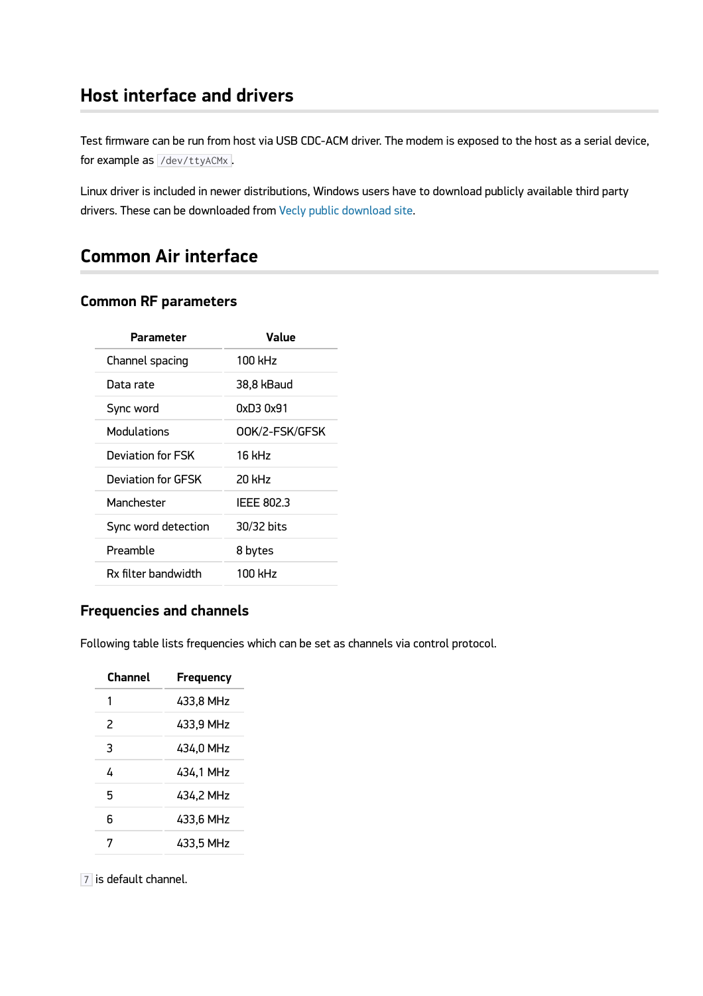### **Host interface and drivers**

Test firmware can be run from host via USB CDC-ACM driver. The modem is exposed to the host as a serial device, for example as /dev/ttyACMx.

Linux driver is included in newer distributions, Windows users have to download publicly available third party drivers. These can be downloaded from [Vecly public download site](https://vecly.com/pub/433-modem/firmware/CC-Bootloader/latest/tooling/Win-driver/).

## **Common Air interface**

### **Common RF parameters**

| Value          |  |
|----------------|--|
| 100 kHz        |  |
| 38,8 kBaud     |  |
| 0xD3 0x91      |  |
| OOK/2-FSK/GFSK |  |
| 16 kHz         |  |
| 20 kHz         |  |
| IEEE 802.3     |  |
| 30/32 bits     |  |
| 8 bytes        |  |
| 100 kHz        |  |
|                |  |

### **Frequencies and channels**

Following table lists frequencies which can be set as channels via control protocol.

| Channel | Frequency |  |
|---------|-----------|--|
| 1       | 433.8 MHz |  |
| 2       | 433.9 MHz |  |
| 3       | 434.0 MHz |  |
| 4       | 434,1 MHz |  |
| 5       | 434.2 MHz |  |
| 6       | 433.6 MHz |  |
| 7       | 433,5 MHz |  |

7 is default channel.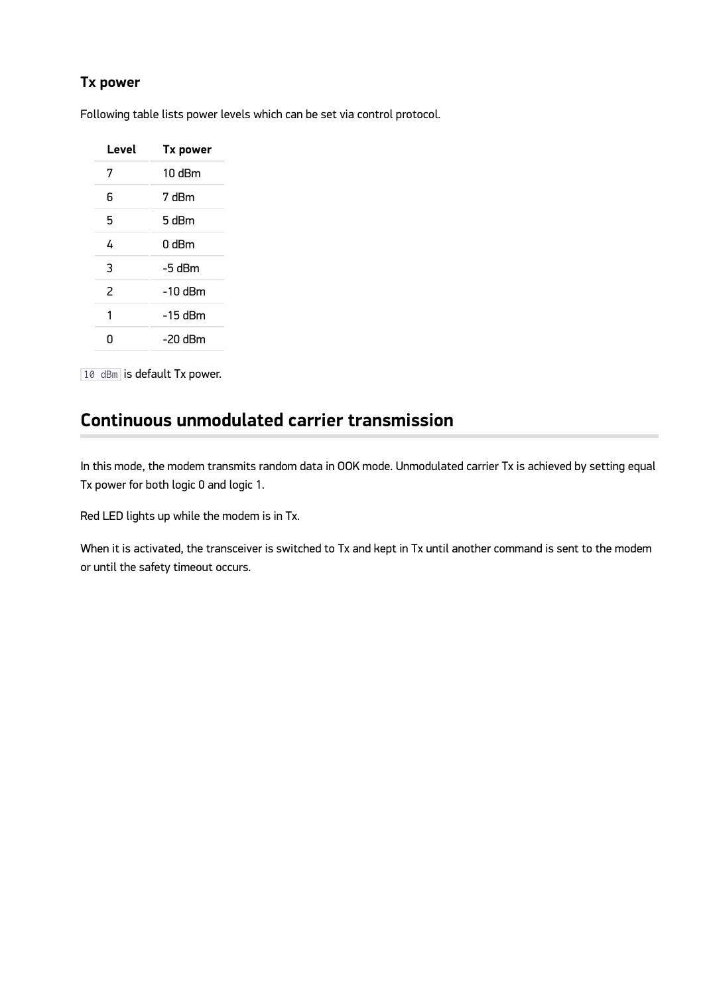### **Tx power**

Following table lists power levels which can be set via control protocol.

| Level | <b>Tx power</b>  |
|-------|------------------|
| 7     | $10 \text{ dBm}$ |
| 6     | 7 dBm            |
| 5     | 5 dBm            |
| 4     | 0 dBm            |
| 3     | -5 dBm           |
| 2     | $-10$ dBm        |
| 1     | -15 dBm          |
| n     | -20 dBm          |

10 dBm is default Tx power.

## **Continuous unmodulated carrier transmission**

In this mode, the modem transmits random data in OOK mode. Unmodulated carrier Tx is achieved by setting equal Tx power for both logic 0 and logic 1.

Red LED lights up while the modem is in Tx.

When it is activated, the transceiver is switched to Tx and kept in Tx until another command is sent to the modem or until the safety timeout occurs.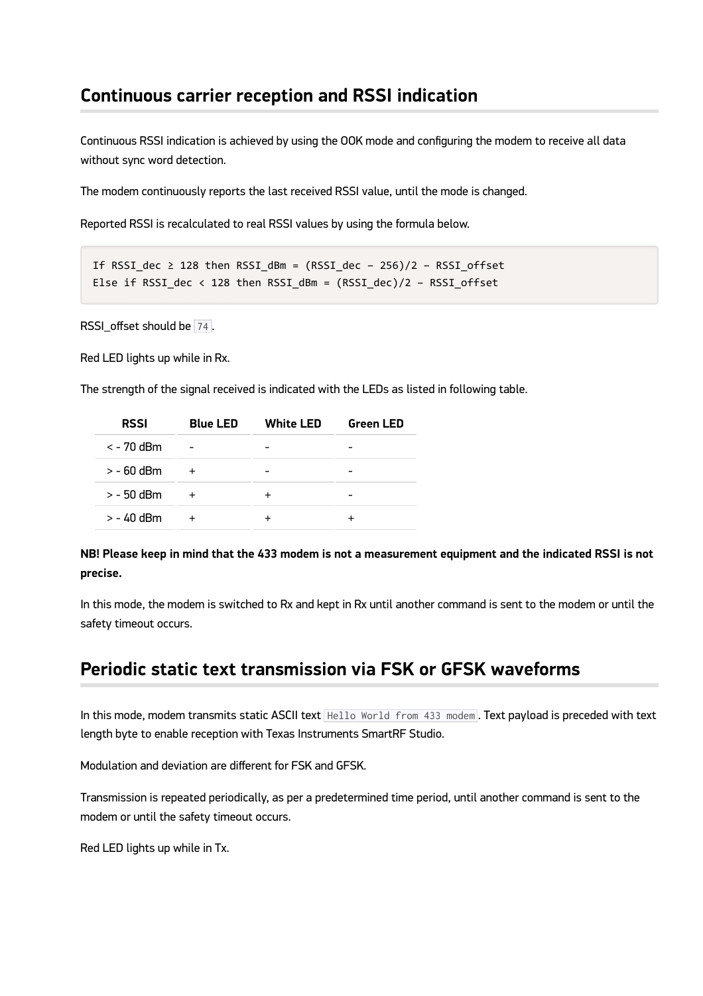### **Continuous carrier reception and RSSI indication**

Continuous RSSI indication is achieved by using the OOK mode and configuring the modem to receive all data without sync word detection.

The modem continuously reports the last received RSSI value, until the mode is changed.

Reported RSSI is recalculated to real RSSI values by using the formula below.

```
If RSSI dec \geq 128 then RSSI dBm = (RSSI dec - 256)/2 - RSSI offset
Else if RSSI dec < 128 then RSSI dBm = (RSSI dec)/2 - RSSI offset
```
RSSI\_offset should be 74.

Red LED lights up while in Rx.

The strength of the signal received is indicated with the LEDs as listed in following table.

| <b>RSSI</b>    | <b>Blue LED</b> | <b>White LED</b> | <b>Green LED</b> |
|----------------|-----------------|------------------|------------------|
| $\lt$ - 70 dBm |                 |                  |                  |
| $>$ - 60 dBm   |                 |                  |                  |
| $>$ - 50 dBm   |                 |                  |                  |
| $> -40$ dBm    |                 |                  |                  |

**NB! Please keep in mind that the 433 modem is not a measurement equipment and the indicated RSSI is not precise.**

In this mode, the modem is switched to Rx and kept in Rx until another command is sent to the modem or until the safety timeout occurs.

### **Periodic static text transmission via FSK or GFSK waveforms**

In this mode, modem transmits static ASCII text Hello World from 433 modem. Text payload is preceded with text length byte to enable reception with Texas Instruments SmartRF Studio.

Modulation and deviation are different for FSK and GFSK.

Transmission is repeated periodically, as per a predetermined time period, until another command is sent to the modem or until the safety timeout occurs.

Red LED lights up while in Tx.